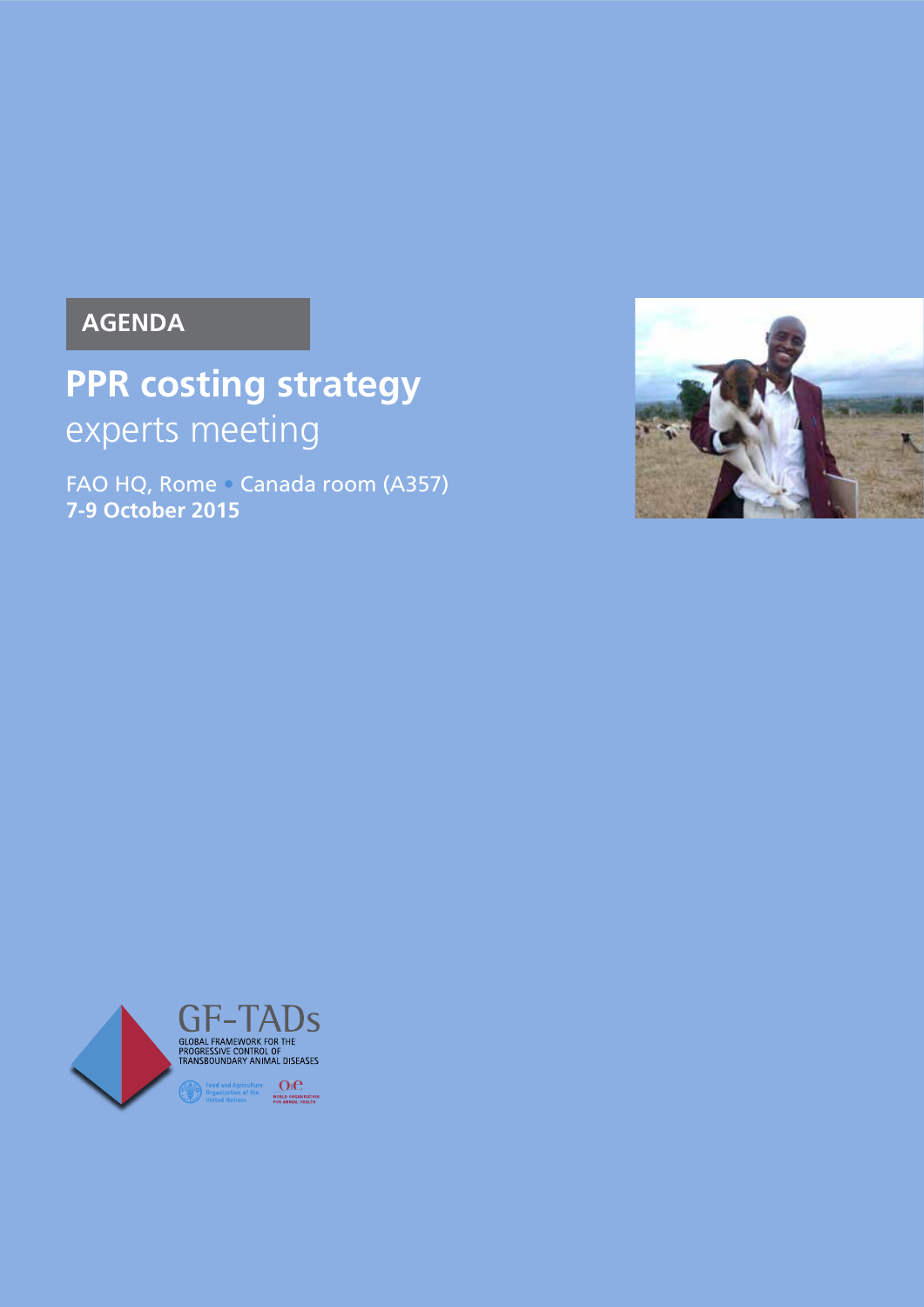## **AGENDA**

# **PPR costing strategy** experts meeting

FAO HQ, Rome • Canada room (A357) **7-9 October 2015**



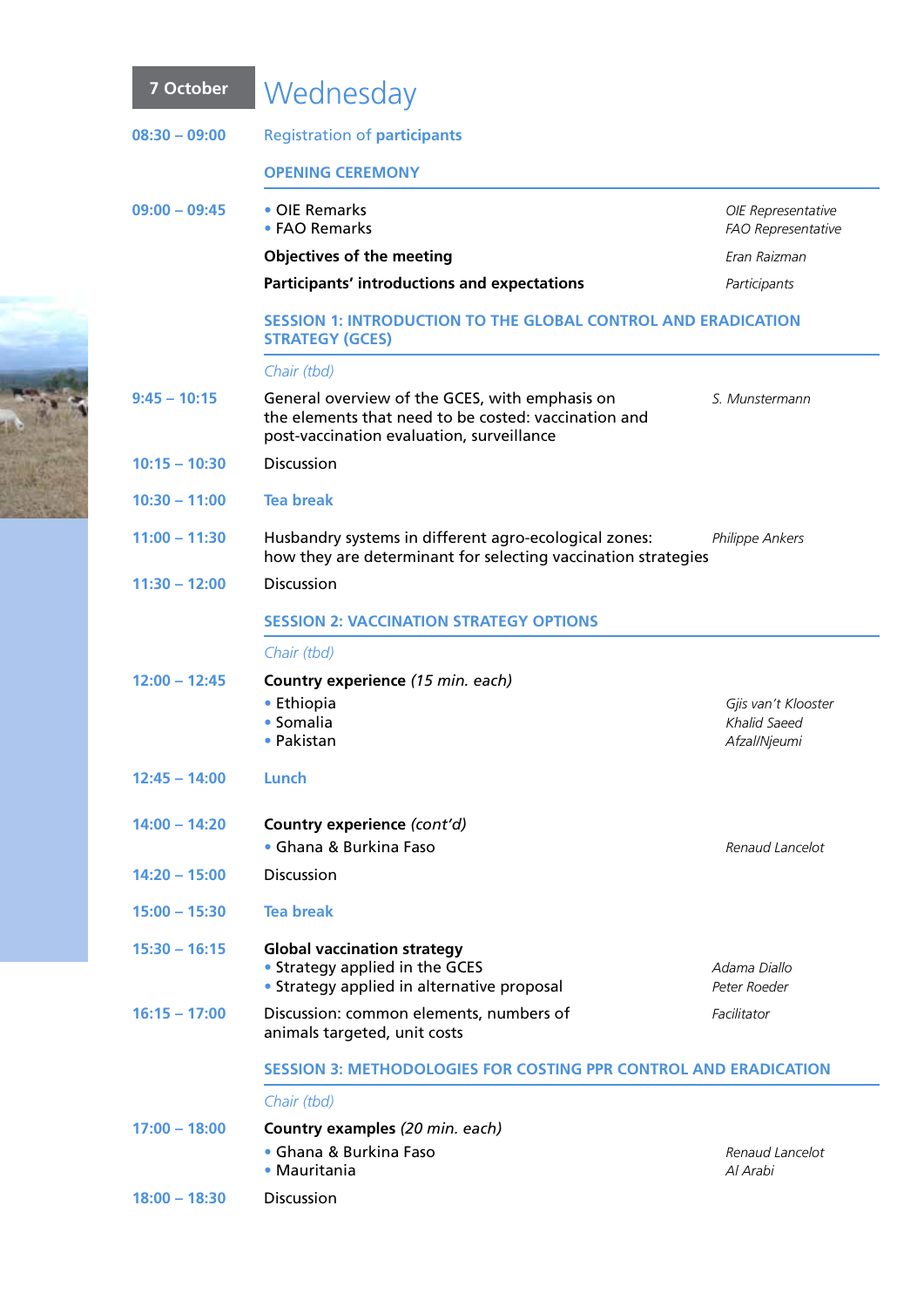### **7 October** Wednesday **08:30 – 09:00** Registration of **participants Opening Ceremony 09:00 – 09:45** • OIE Remarks *OIE Representative* **•** FAO Remarks *FAO Representative* **Objectives of the meeting** *Eran Raizman* **Participants' introductions and expectations** *Participants* **SESSION 1: Introduction to the Global Control and Eradication Strategy (GCES)** *Chair (tbd)* **9:45 – 10:15** General overview of the GCES, with emphasis on *S. Munstermann* the elements that need to be costed: vaccination and post-vaccination evaluation, surveillance **10:15 – 10:30** Discussion **10:30 – 11:00 Tea break 11:00 – 11:30** Husbandry systems in different agro-ecological zones: *Philippe Ankers* how they are determinant for selecting vaccination strategies **11:30 – 12:00** Discussion **SESSION 2: Vaccination strategy options** *Chair (tbd)* **12:00 – 12:45 Country experience** *(15 min. each)* **•** Ethiopia *Gjis van't Klooster* **•** Somalia *Khalid Saeed* **•** Pakistan *Afzal/Njeumi*

- **12:45 14:00 Lunch**
- **14:00 14:20 Country experience** *(cont'd)* **•** Ghana & Burkina Faso *Renaud Lancelot*
- **14:20 15:00** Discussion
- **15:00 15:30 Tea break**
- **15:30 16:15 Global vaccination strategy** • Strategy applied in the GCES **Adama Diallo** *Adama Diallo* **•** Strategy applied in alternative proposal *Peter Roeder*
- **16:15 17:00** Discussion: common elements, numbers of *Facilitator* animals targeted, unit costs

#### **SESSION 3: Methodologies for costing PPR control and eradication**

#### *Chair (tbd)*

| $17:00 - 18:00$ | <b>Country examples</b> (20 min. each) |                 |  |
|-----------------|----------------------------------------|-----------------|--|
|                 | • Ghana & Burkina Faso                 | Renaud Lancelot |  |
|                 | • Mauritania                           | Al Arabi        |  |
| $18:00 - 18:30$ | <b>Discussion</b>                      |                 |  |